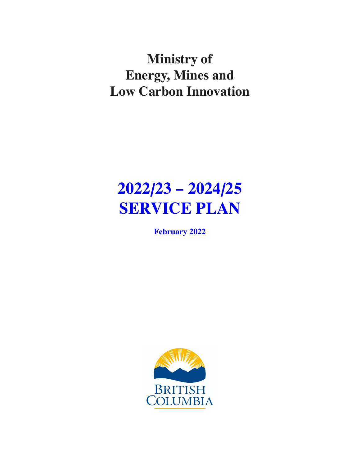## **Ministry of Energy, Mines and Low Carbon Innovation**

# **2022/23 – 2024/25 SERVICE PLAN**

**February 2022**

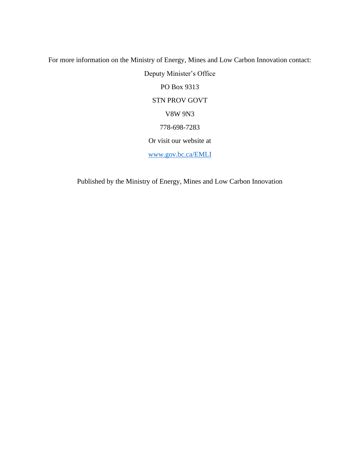For more information on the Ministry of Energy, Mines and Low Carbon Innovation contact: Deputy Minister's Office PO Box 9313 STN PROV GOVT V8W 9N3 778-698-7283 Or visit our website at [www.gov.bc.ca/EMLI](http://www.gov.bc.ca/EMLI)

Published by the Ministry of Energy, Mines and Low Carbon Innovation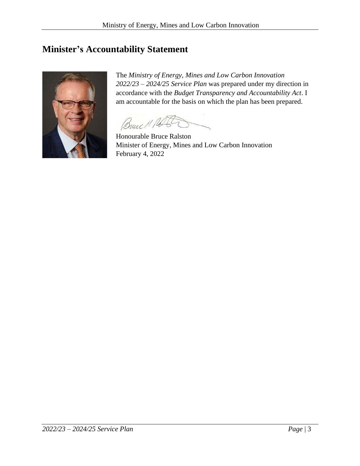## <span id="page-2-0"></span>**Minister's Accountability Statement**



The *Ministry of Energy, Mines and Low Carbon Innovation 2022/23 – 2024/25 Service Plan* was prepared under my direction in accordance with the *Budget Transparency and Accountability Act*. I am accountable for the basis on which the plan has been prepared.

Bruce 11 Pa

Honourable Bruce Ralston Minister of Energy, Mines and Low Carbon Innovation February 4, 2022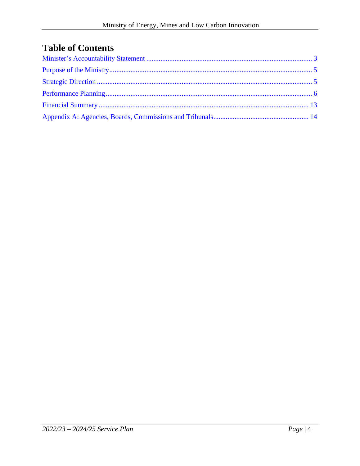## **Table of Contents**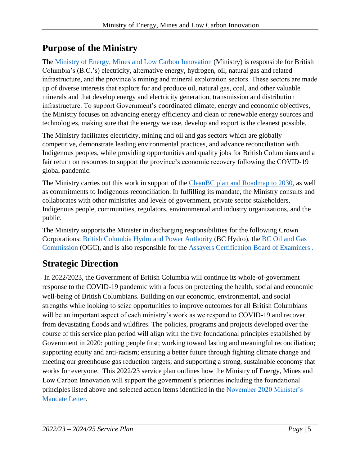## <span id="page-4-0"></span>**Purpose of the Ministry**

The [Ministry of Energy, Mines and Low Carbon Innovation](http://www.bclaws.ca/civix/document/id/complete/statreg/96298_01) (Ministry) is responsible for British Columbia's (B.C.'s) electricity, alternative energy, hydrogen, oil, natural gas and related infrastructure, and the province's mining and mineral exploration sectors. These sectors are made up of diverse interests that explore for and produce oil, natural gas, coal, and other valuable minerals and that develop energy and electricity generation, transmission and distribution infrastructure. To support Government's coordinated climate, energy and economic objectives, the Ministry focuses on advancing energy efficiency and clean or renewable energy sources and technologies, making sure that the energy we use, develop and export is the cleanest possible.

The Ministry facilitates electricity, mining and oil and gas sectors which are globally competitive, demonstrate leading environmental practices, and advance reconciliation with Indigenous peoples, while providing opportunities and quality jobs for British Columbians and a fair return on resources to support the province's economic recovery following the COVID-19 global pandemic.

The Ministry carries out this work in support of the CleanBC plan [and Roadmap to 2030,](https://cleanbc.gov.bc.ca/) as well as commitments to Indigenous reconciliation. In fulfilling its mandate, the Ministry consults and collaborates with other ministries and levels of government, private sector stakeholders, Indigenous people, communities, regulators, environmental and industry organizations, and the public.

The Ministry supports the Minister in discharging responsibilities for the following Crown Corporations: [British Columbia Hydro and Power Authority](https://www.bchydro.com/index.html) (BC Hydro), the [BC Oil and Gas](http://www.bcogc.ca/)  [Commission](http://www.bcogc.ca/) (OGC), and is also responsible for the [Assayers Certification Board of Examiners .](https://commons.bcit.ca/assayerscert/)

## <span id="page-4-1"></span>**Strategic Direction**

In 2022/2023, the Government of British Columbia will continue its whole-of-government response to the COVID-19 pandemic with a focus on protecting the health, social and economic well-being of British Columbians. Building on our economic, environmental, and social strengths while looking to seize opportunities to improve outcomes for all British Columbians will be an important aspect of each ministry's work as we respond to COVID-19 and recover from devastating floods and wildfires. The policies, programs and projects developed over the course of this service plan period will align with the five foundational principles established by Government in 2020: putting people first; working toward lasting and meaningful reconciliation; supporting equity and anti-racism; ensuring a better future through fighting climate change and meeting our greenhouse gas reduction targets; and supporting a strong, sustainable economy that works for everyone. This 2022/23 service plan outlines how the Ministry of Energy, Mines and Low Carbon Innovation will support the government's priorities including the foundational principles listed above and selected action items identified in the [November 2020 Minister's](https://news.gov.bc.ca/files/EMLI-Ralston-mandate.pdf)  [Mandate Letter.](https://news.gov.bc.ca/files/EMLI-Ralston-mandate.pdf)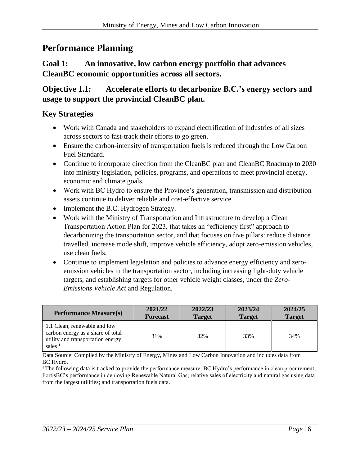## <span id="page-5-0"></span>**Performance Planning**

#### **Goal 1: An innovative, low carbon energy portfolio that advances CleanBC economic opportunities across all sectors.**

**Objective 1.1: Accelerate efforts to decarbonize B.C.'s energy sectors and usage to support the provincial CleanBC plan.**

#### **Key Strategies**

- Work with Canada and stakeholders to expand electrification of industries of all sizes across sectors to fast-track their efforts to go green.
- Ensure the carbon-intensity of transportation fuels is reduced through the Low Carbon Fuel Standard.
- Continue to incorporate direction from the CleanBC plan and CleanBC Roadmap to 2030 into ministry legislation, policies, programs, and operations to meet provincial energy, economic and climate goals.
- Work with BC Hydro to ensure the Province's generation, transmission and distribution assets continue to deliver reliable and cost-effective service.
- Implement the B.C. Hydrogen Strategy.
- Work with the Ministry of Transportation and Infrastructure to develop a Clean Transportation Action Plan for 2023, that takes an "efficiency first" approach to decarbonizing the transportation sector, and that focuses on five pillars: reduce distance travelled, increase mode shift, improve vehicle efficiency, adopt zero-emission vehicles, use clean fuels.
- Continue to implement legislation and policies to advance energy efficiency and zeroemission vehicles in the transportation sector, including increasing light-duty vehicle targets, and establishing targets for other vehicle weight classes, under the *Zero-Emissions Vehicle Act* and Regulation.

| <b>Performance Measure(s)</b>                                                                                       | 2021/22         | 2022/23       | 2023/24       | 2024/25       |
|---------------------------------------------------------------------------------------------------------------------|-----------------|---------------|---------------|---------------|
|                                                                                                                     | <b>Forecast</b> | <b>Target</b> | <b>Target</b> | <b>Target</b> |
| 1.1 Clean, renewable and low<br>carbon energy as a share of total<br>utility and transportation energy<br>sales $1$ | 31%             | 32%           | 33%           | 34%           |

Data Source: Compiled by the Ministry of Energy, Mines and Low Carbon Innovation and includes data from BC Hydro.

 $1$ <sup>1</sup> The following data is tracked to provide the performance measure: BC Hydro's performance in clean procurement; FortisBC's performance in deploying Renewable Natural Gas; relative sales of electricity and natural gas using data from the largest utilities; and transportation fuels data.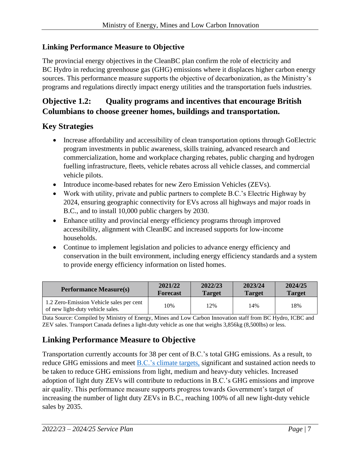#### **Linking Performance Measure to Objective**

The provincial energy objectives in the CleanBC plan confirm the role of electricity and BC Hydro in reducing greenhouse gas (GHG) emissions where it displaces higher carbon energy sources. This performance measure supports the objective of decarbonization, as the Ministry's programs and regulations directly impact energy utilities and the transportation fuels industries.

#### **Objective 1.2: Quality programs and incentives that encourage British Columbians to choose greener homes, buildings and transportation.**

#### **Key Strategies**

- Increase affordability and accessibility of clean transportation options through GoElectric program investments in public awareness, skills training, advanced research and commercialization, home and workplace charging rebates, public charging and hydrogen fuelling infrastructure, fleets, vehicle rebates across all vehicle classes, and commercial vehicle pilots.
- Introduce income-based rebates for new Zero Emission Vehicles (ZEVs).
- Work with utility, private and public partners to complete B.C.'s Electric Highway by 2024, ensuring geographic connectivity for EVs across all highways and major roads in B.C., and to install 10,000 public chargers by 2030.
- Enhance utility and provincial energy efficiency programs through improved accessibility, alignment with CleanBC and increased supports for low-income households.
- Continue to implement legislation and policies to advance energy efficiency and conservation in the built environment, including energy efficiency standards and a system to provide energy efficiency information on listed homes.

| <b>Performance Measure(s)</b>                                                | 2021/22         | 2022/23       | 2023/24       | 2024/25       |
|------------------------------------------------------------------------------|-----------------|---------------|---------------|---------------|
|                                                                              | <b>Forecast</b> | <b>Target</b> | <b>Target</b> | <b>Target</b> |
| 1.2 Zero-Emission Vehicle sales per cent<br>of new light-duty vehicle sales. | 10%             | 12%           | 14%           | 18%           |

Data Source: Compiled by Ministry of Energy, Mines and Low Carbon Innovation staff from BC Hydro, ICBC and ZEV sales. Transport Canada defines a light-duty vehicle as one that weighs 3,856kg (8,500lbs) or less.

#### **Linking Performance Measure to Objective**

Transportation currently accounts for 38 per cent of B.C.'s total GHG emissions. As a result, to reduce GHG emissions and meet B.C.'s [climate targets,](https://www2.gov.bc.ca/gov/content/environment/climate-change/planning-and-action/sectoral-targets) significant and sustained action needs to be taken to reduce GHG emissions from light, medium and heavy-duty vehicles. Increased adoption of light duty ZEVs will contribute to reductions in B.C.'s GHG emissions and improve air quality. This performance measure supports progress towards Government's target of increasing the number of light duty ZEVs in B.C., reaching 100% of all new light-duty vehicle sales by 2035.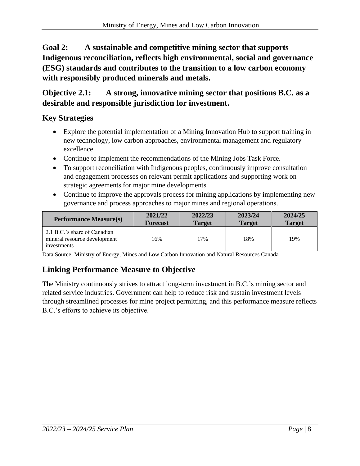**Goal 2: A sustainable and competitive mining sector that supports Indigenous reconciliation, reflects high environmental, social and governance (ESG) standards and contributes to the transition to a low carbon economy with responsibly produced minerals and metals.** 

**Objective 2.1: A strong, innovative mining sector that positions B.C. as a desirable and responsible jurisdiction for investment.**

#### **Key Strategies**

- Explore the potential implementation of a Mining Innovation Hub to support training in new technology, low carbon approaches, environmental management and regulatory excellence.
- Continue to implement the recommendations of the Mining Jobs Task Force.
- To support reconciliation with Indigenous peoples, continuously improve consultation and engagement processes on relevant permit applications and supporting work on strategic agreements for major mine developments.
- Continue to improve the approvals process for mining applications by implementing new governance and process approaches to major mines and regional operations.

| <b>Performance Measure(s)</b>                                               | 2021/22         | 2022/23       | 2023/24       | 2024/25       |
|-----------------------------------------------------------------------------|-----------------|---------------|---------------|---------------|
|                                                                             | <b>Forecast</b> | <b>Target</b> | <b>Target</b> | <b>Target</b> |
| 2.1 B.C.'s share of Canadian<br>mineral resource development<br>investments | 16%             | 17%           | 18%           | 19%           |

Data Source: Ministry of Energy, Mines and Low Carbon Innovation and Natural Resources Canada

## **Linking Performance Measure to Objective**

The Ministry continuously strives to attract long-term investment in B.C.'s mining sector and related service industries. Government can help to reduce risk and sustain investment levels through streamlined processes for mine project permitting, and this performance measure reflects B.C.'s efforts to achieve its objective.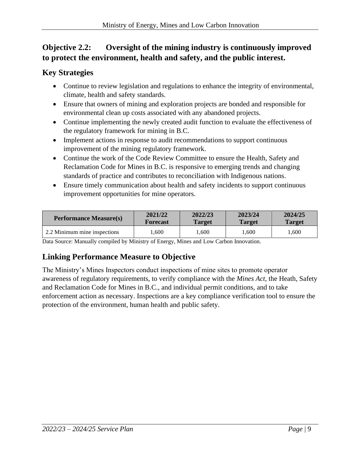## **Objective 2.2: Oversight of the mining industry is continuously improved to protect the environment, health and safety, and the public interest.**

#### **Key Strategies**

- Continue to review legislation and regulations to enhance the integrity of environmental, climate, health and safety standards.
- Ensure that owners of mining and exploration projects are bonded and responsible for environmental clean up costs associated with any abandoned projects.
- Continue implementing the newly created audit function to evaluate the effectiveness of the regulatory framework for mining in B.C.
- Implement actions in response to audit recommendations to support continuous improvement of the mining regulatory framework.
- Continue the work of the Code Review Committee to ensure the Health, Safety and Reclamation Code for Mines in B.C. is responsive to emerging trends and changing standards of practice and contributes to reconciliation with Indigenous nations.
- Ensure timely communication about health and safety incidents to support continuous improvement opportunities for mine operators.

| <b>Performance Measure(s)</b> | 2021/22         | 2022/23 | 2023/24 | 2024/25       |
|-------------------------------|-----------------|---------|---------|---------------|
|                               | <b>Forecast</b> | Target  | Target  | <b>Target</b> |
| 2.2 Minimum mine inspections  | .600            | .600    | .600    | .600          |

Data Source: Manually compiled by Ministry of Energy, Mines and Low Carbon Innovation.

## **Linking Performance Measure to Objective**

The Ministry's Mines Inspectors conduct inspections of mine sites to promote operator awareness of regulatory requirements, to verify compliance with the *Mines Act,* the Heath, Safety and Reclamation Code for Mines in B.C., and individual permit conditions, and to take enforcement action as necessary. Inspections are a key compliance verification tool to ensure the protection of the environment, human health and public safety.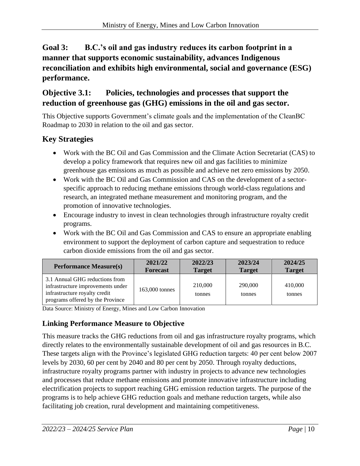#### **Goal 3: B.C.'s oil and gas industry reduces its carbon footprint in a manner that supports economic sustainability, advances Indigenous reconciliation and exhibits high environmental, social and governance (ESG) performance.**

#### **Objective 3.1: Policies, technologies and processes that support the reduction of greenhouse gas (GHG) emissions in the oil and gas sector.**

This Objective supports Government's climate goals and the implementation of the CleanBC Roadmap to 2030 in relation to the oil and gas sector.

#### **Key Strategies**

- Work with the BC Oil and Gas Commission and the Climate Action Secretariat (CAS) to develop a policy framework that requires new oil and gas facilities to minimize greenhouse gas emissions as much as possible and achieve net zero emissions by 2050.
- Work with the BC Oil and Gas Commission and CAS on the development of a sectorspecific approach to reducing methane emissions through world-class regulations and research, an integrated methane measurement and monitoring program, and the promotion of innovative technologies.
- Encourage industry to invest in clean technologies through infrastructure royalty credit programs.
- Work with the BC Oil and Gas Commission and CAS to ensure an appropriate enabling environment to support the deployment of carbon capture and sequestration to reduce carbon dioxide emissions from the oil and gas sector.

| <b>Performance Measure(s)</b>                                                                                                            | 2021/22         | 2022/23           | 2023/24           | 2024/25           |
|------------------------------------------------------------------------------------------------------------------------------------------|-----------------|-------------------|-------------------|-------------------|
|                                                                                                                                          | <b>Forecast</b> | <b>Target</b>     | <b>Target</b>     | <b>Target</b>     |
| 3.1 Annual GHG reductions from<br>infrastructure improvements under<br>infrastructure royalty credit<br>programs offered by the Province | 163,000 tonnes  | 210,000<br>tonnes | 290,000<br>tonnes | 410,000<br>tonnes |

Data Source: Ministry of Energy, Mines and Low Carbon Innovation

#### **Linking Performance Measure to Objective**

This measure tracks the GHG reductions from oil and gas infrastructure royalty programs, which directly relates to the environmentally sustainable development of oil and gas resources in B.C. These targets align with the Province's legislated GHG reduction targets: 40 per cent below 2007 levels by 2030, 60 per cent by 2040 and 80 per cent by 2050. Through royalty deductions, infrastructure royalty programs partner with industry in projects to advance new technologies and processes that reduce methane emissions and promote innovative infrastructure including electrification projects to support reaching GHG emission reduction targets. The purpose of the programs is to help achieve GHG reduction goals and methane reduction targets, while also facilitating job creation, rural development and maintaining competitiveness.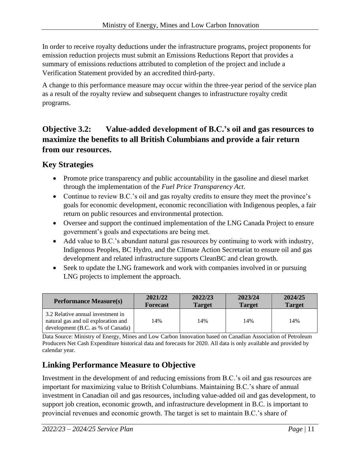In order to receive royalty deductions under the infrastructure programs, project proponents for emission reduction projects must submit an Emissions Reductions Report that provides a summary of emissions reductions attributed to completion of the project and include a Verification Statement provided by an accredited third-party.

A change to this performance measure may occur within the three-year period of the service plan as a result of the royalty review and subsequent changes to infrastructure royalty credit programs.

#### **Objective 3.2: Value-added development of B.C.'s oil and gas resources to maximize the benefits to all British Columbians and provide a fair return from our resources.**

#### **Key Strategies**

- Promote price transparency and public accountability in the gasoline and diesel market through the implementation of the *Fuel Price Transparency Act*.
- Continue to review B.C.'s oil and gas royalty credits to ensure they meet the province's goals for economic development, economic reconciliation with Indigenous peoples, a fair return on public resources and environmental protection.
- Oversee and support the continued implementation of the LNG Canada Project to ensure government's goals and expectations are being met.
- Add value to B.C.'s abundant natural gas resources by continuing to work with industry, Indigenous Peoples, BC Hydro, and the Climate Action Secretariat to ensure oil and gas development and related infrastructure supports CleanBC and clean growth.
- Seek to update the LNG framework and work with companies involved in or pursuing LNG projects to implement the approach.

| <b>Performance Measure(s)</b>                                                                                 | 2021/22         | 2022/23       | 2023/24       | 2024/25       |
|---------------------------------------------------------------------------------------------------------------|-----------------|---------------|---------------|---------------|
|                                                                                                               | <b>Forecast</b> | <b>Target</b> | <b>Target</b> | <b>Target</b> |
| 3.2 Relative annual investment in<br>natural gas and oil exploration and<br>development (B.C. as % of Canada) | 14%             | 14%           | 14%           | 14%           |

Data Source: Ministry of Energy, Mines and Low Carbon Innovation based on Canadian Association of Petroleum Producers Net Cash Expenditure historical data and forecasts for 2020. All data is only available and provided by calendar year.

## **Linking Performance Measure to Objective**

Investment in the development of and reducing emissions from B.C.'s oil and gas resources are important for maximizing value to British Columbians. Maintaining B.C.'s share of annual investment in Canadian oil and gas resources, including value-added oil and gas development, to support job creation, economic growth, and infrastructure development in B.C. is important to provincial revenues and economic growth. The target is set to maintain B.C.'s share of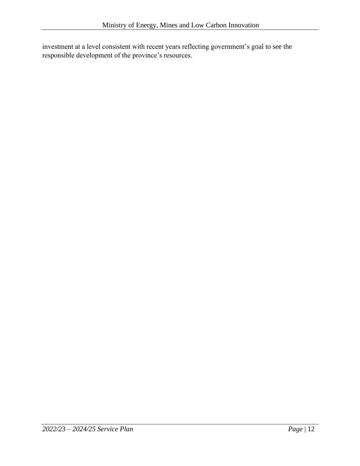investment at a level consistent with recent years reflecting government's goal to see the responsible development of the province's resources.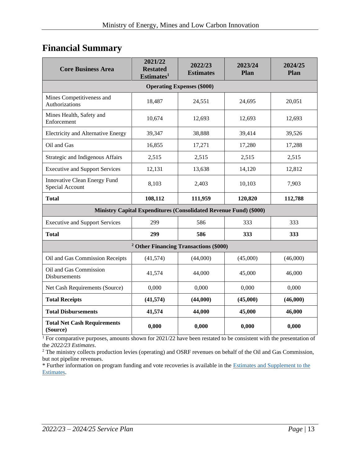## <span id="page-12-0"></span>**Financial Summary**

| <b>Core Business Area</b>                       | 2021/22<br><b>Restated</b><br>Estimates <sup>1</sup>              | 2022/23<br><b>Estimates</b>       | 2023/24<br>Plan | 2024/25<br>Plan |
|-------------------------------------------------|-------------------------------------------------------------------|-----------------------------------|-----------------|-----------------|
|                                                 |                                                                   | <b>Operating Expenses (\$000)</b> |                 |                 |
| Mines Competitiveness and<br>Authorizations     | 18,487                                                            | 24,551                            | 24,695          | 20,051          |
| Mines Health, Safety and<br>Enforcement         | 10,674                                                            | 12,693                            | 12,693          | 12,693          |
| Electricity and Alternative Energy              | 39,347                                                            | 38,888                            | 39,414          | 39,526          |
| Oil and Gas                                     | 16,855                                                            | 17,271                            | 17,280          | 17,288          |
| Strategic and Indigenous Affairs                | 2,515                                                             | 2,515                             | 2,515           | 2,515           |
| <b>Executive and Support Services</b>           | 12,131                                                            | 13,638                            | 14,120          | 12,812          |
| Innovative Clean Energy Fund<br>Special Account | 8,103                                                             | 2,403                             | 10,103          | 7,903           |
| <b>Total</b>                                    | 108,112                                                           | 111,959                           | 120,820         | 112,788         |
|                                                 | Ministry Capital Expenditures (Consolidated Revenue Fund) (\$000) |                                   |                 |                 |
| <b>Executive and Support Services</b>           | 299                                                               | 586                               | 333             | 333             |
| <b>Total</b>                                    | 299                                                               | 586                               | 333             | 333             |
|                                                 | <sup>2</sup> Other Financing Transactions (\$000)                 |                                   |                 |                 |
| Oil and Gas Commission Receipts                 | (41, 574)                                                         | (44,000)                          | (45,000)        | (46,000)        |
| Oil and Gas Commission<br>Disbursements         | 41,574                                                            | 44,000                            | 45,000          | 46,000          |
| Net Cash Requirements (Source)                  | 0,000                                                             | 0,000                             | 0,000           | 0,000           |
| <b>Total Receipts</b>                           | (41,574)                                                          | (44,000)                          | (45,000)        | (46,000)        |
| <b>Total Disbursements</b>                      | 41,574                                                            | 44,000                            | 45,000          | 46,000          |
| <b>Total Net Cash Requirements</b><br>(Source)  | 0,000                                                             | 0,000                             | 0,000           | 0,000           |

<sup>1</sup> For comparative purposes, amounts shown for 2021/22 have been restated to be consistent with the presentation of the *2022/23 Estimates*.

<sup>2</sup> The ministry collects production levies (operating) and OSRF revenues on behalf of the Oil and Gas Commission, but not pipeline revenues.

\* Further information on program funding and vote recoveries is available in the [Estimates and Supplement to the](http://www.bcbudget.gov.bc.ca/)  [Estimates.](http://www.bcbudget.gov.bc.ca/)